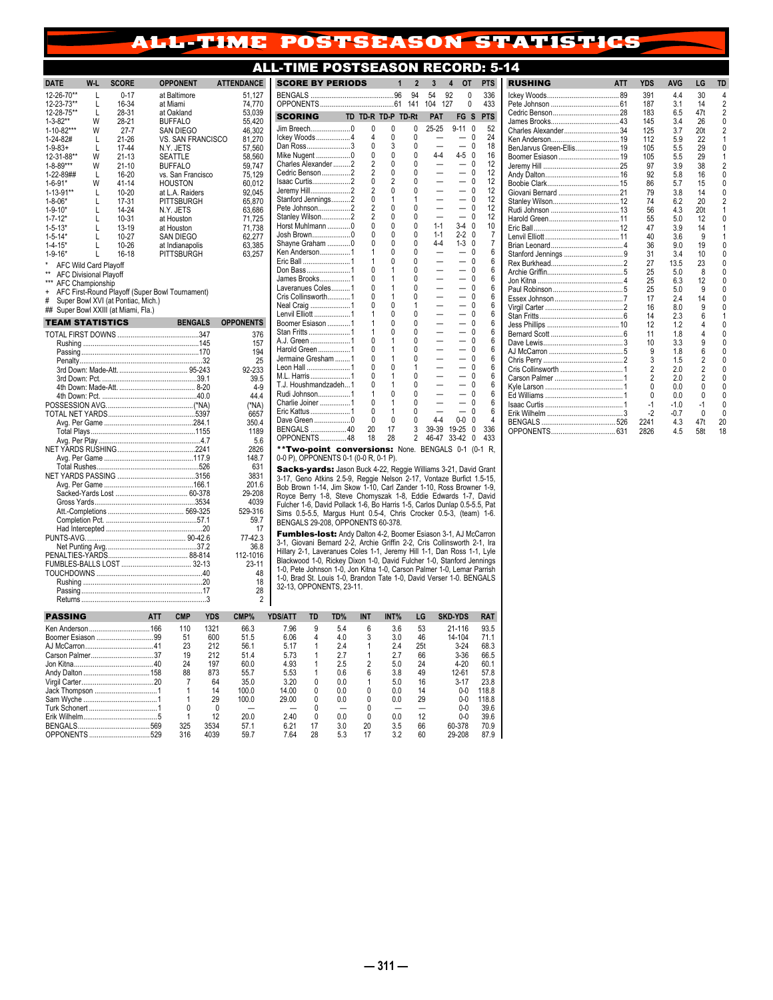## ALL-TIME POSTSEASON STATISTICS

## **ALL-TIME POSTSEASON RECORD: 5**

|                                               |        |                                                 |            |                                     |             |                   |                                   | .        |
|-----------------------------------------------|--------|-------------------------------------------------|------------|-------------------------------------|-------------|-------------------|-----------------------------------|----------|
| <b>DATE</b>                                   | W-L    | <b>SCORE</b>                                    |            | <b>OPPONENT</b>                     |             | <b>ATTENDANCE</b> | <b>SCORE BY</b>                   |          |
| 12-26-70**                                    | L      | $0 - 17$                                        |            | at Baltimore                        |             | 51,127            | <b>BENGALS</b>                    |          |
| 12-23-73**                                    | L      | 16-34                                           |            | at Miami                            |             | 74,770            | <b>OPPONENTS</b>                  |          |
| 12-28-75**                                    | L<br>W | 28-31                                           |            | at Oakland                          |             | 53,039            | <b>SCORING</b>                    |          |
| $1 - 3 - 82**$<br>1-10-82***                  | W      | 28-21<br>$27 - 7$                               |            | <b>BUFFALO</b><br>SAN DIEGO         |             | 55,420<br>46,302  | Jim Breech                        |          |
| 1-24-82#                                      | L      | $21 - 26$                                       |            | VS. SAN FRANCISCO                   |             | 81,270            | Ickey Woods                       |          |
| $1 - 9 - 83 +$                                | L      | $17 - 44$                                       |            | N.Y. JETS                           |             | 57,560            | Dan Ross                          |          |
| 12-31-88**                                    | W      | $21 - 13$                                       |            | SEATTLE                             |             | 58.560            | Mike Nugent                       |          |
| $1 - 8 - 89***$                               | W      | $21 - 10$                                       |            | <b>BUFFALO</b>                      |             | 59,747            | Charles Alexar<br>Cedric Benson   |          |
| 1-22-89##                                     | L<br>W | 16-20<br>41-14                                  |            | vs. San Francisco                   |             | 75,129            | Isaac Curtis                      |          |
| 1-6-91*<br>$1 - 13 - 91**$                    | L      | $10 - 20$                                       |            | HOUSTON<br>at L.A. Raiders          |             | 60,012<br>92,045  | Jeremy Hill                       |          |
| $1 - 8 - 06*$                                 | L      | 17-31                                           |            | PITTSBURGH                          |             | 65,870            | Stanford Jenni                    |          |
| $1 - 9 - 10*$                                 | L      | 14-24                                           |            | N.Y. JETS                           |             | 63,686            | Pete Johnson.                     |          |
| $1 - 7 - 12*$                                 | L      | $10 - 31$                                       |            | at Houston                          |             | 71.725            | <b>Stanley Wilsor</b>             |          |
| $1 - 5 - 13*$                                 | L      | 13-19                                           |            | at Houston                          |             | 71,738            | Horst Muhlmar<br>Josh Brown       |          |
| $1 - 5 - 14*$<br>$1 - 4 - 15*$                | L<br>L | 10-27<br>10-26                                  |            | <b>SAN DIEGO</b><br>at Indianapolis |             | 62,277<br>63,385  | Shayne Graha                      |          |
| $1 - 9 - 16*$                                 | L      | 16-18                                           |            | PITTSBURGH                          |             | 63,257            | Ken Anderson                      |          |
| <b>AFC Wild Card Playoff</b>                  |        |                                                 |            |                                     |             |                   | Eric Ball                         |          |
| $\star\star$<br><b>AFC Divisional Playoff</b> |        |                                                 |            |                                     |             |                   | Don Bass                          |          |
| *** AFC Championship                          |        |                                                 |            |                                     |             |                   | James Brooks<br>Laveranues Co     |          |
| $\ddot{}$                                     |        | AFC First-Round Playoff (Super Bowl Tournament) |            |                                     |             |                   | Cris Collinswo                    |          |
| #                                             |        | Super Bowl XVI (at Pontiac, Mich.)              |            |                                     |             |                   | Neal Craig                        |          |
|                                               |        | ## Super Bowl XXIII (at Miami, Fla.)            |            |                                     |             |                   | Lenvil Elliott                    |          |
| <b>TEAM STATISTICS</b>                        |        |                                                 |            | <b>BENGALS</b>                      |             | <b>OPPONENTS</b>  | <b>Boomer Esiaso</b>              |          |
|                                               |        |                                                 |            |                                     |             | 376               | Stan Fritts<br>A.J. Green         |          |
|                                               |        |                                                 |            |                                     |             | 157               | Harold Green.                     |          |
|                                               |        |                                                 |            |                                     |             | 194<br>25         | Jermaine Gres                     |          |
|                                               |        |                                                 |            |                                     |             | 92-233            | Leon Hall                         |          |
|                                               |        |                                                 |            |                                     |             | 39.5              | M.L. Harris                       |          |
|                                               |        |                                                 |            |                                     |             | $4-9$             | T.J. Houshmar                     |          |
|                                               |        |                                                 |            |                                     |             | 44.4              | Rudi Johnson.<br>Charlie Joiner   |          |
|                                               |        |                                                 |            |                                     |             | (*NA)             | Eric Kattus                       |          |
|                                               |        |                                                 |            |                                     |             | 6657<br>350.4     | Dave Green                        |          |
|                                               |        |                                                 |            |                                     |             | 1189              | <b>BENGALS</b>                    |          |
|                                               |        |                                                 |            |                                     |             | 5.6               | <b>OPPONENTS</b>                  |          |
|                                               |        |                                                 |            |                                     |             | 2826              | **Two-poi                         |          |
|                                               |        |                                                 |            |                                     |             | 148.7             | 0-0 P), OPPOI                     |          |
|                                               |        |                                                 |            |                                     |             | 631<br>3831       | Sacks-yar                         |          |
|                                               |        |                                                 |            |                                     |             | 201.6             | 3-17, Geno A                      |          |
|                                               |        |                                                 |            |                                     |             | 29-208            | Bob Brown 1-                      |          |
|                                               |        |                                                 |            |                                     |             | 4039              | Royce Berry<br>Fulcher 1-6, D     |          |
|                                               |        |                                                 |            |                                     |             | 529-316           | Sims 0.5-5.5,                     |          |
|                                               |        |                                                 |            |                                     |             | 59.7              | <b>BENGALS 29-</b>                |          |
|                                               |        |                                                 |            |                                     |             | 17<br>77-42.3     | <b>Fumbles-I</b>                  |          |
|                                               |        |                                                 |            |                                     |             | 36.8              | 3-1, Giovani E                    |          |
|                                               |        |                                                 |            |                                     |             | 112-1016          | Hillary 2-1, La                   |          |
|                                               |        |                                                 |            |                                     |             | $23 - 11$         | Blackwood 1-0                     |          |
|                                               |        |                                                 |            |                                     |             | 48                | 1-0, Pete John<br>1-0, Brad St. L |          |
|                                               |        |                                                 |            |                                     |             | 18                | 32-13, OPPON                      |          |
|                                               |        |                                                 |            |                                     |             | 28<br>2           |                                   |          |
| <b>PASSING</b>                                |        |                                                 |            |                                     |             |                   |                                   |          |
|                                               |        |                                                 | <b>ATT</b> | <b>CMP</b>                          | <b>YDS</b>  | CMP%              | <b>YDS/ATT</b>                    | TD       |
|                                               |        | Ken Anderson  166                               |            | 110<br>51                           | 1321<br>600 | 66.3<br>51.5      | 7.96<br>6.06                      | 9<br>4   |
|                                               |        |                                                 |            | 23                                  | 212         | 56.1              | 5.17                              | 1        |
|                                               |        | Carson Palmer37                                 |            | 19                                  | 212         | 51.4              | 5.73                              | 1        |
|                                               |        |                                                 |            | 24                                  | 197         | 60.0              | 4.93                              | 1        |
|                                               |        |                                                 |            | 88                                  | 873         | 55.7              | 5.53                              | 1        |
|                                               |        | Virgil Carter 20                                |            | 7                                   | 64          | 350               | 3.20                              | $\Omega$ |

| <b>SCORE BY PERIODS</b>                                        |                     |                   | $\overline{\phantom{a}}$<br>1 | 3          | 4         | OТ       |                              | <b>PTS</b>    |  |
|----------------------------------------------------------------|---------------------|-------------------|-------------------------------|------------|-----------|----------|------------------------------|---------------|--|
|                                                                |                     |                   | 94<br>141                     | 54<br>104  | 92<br>127 | 0<br>O   |                              | 336<br>433    |  |
| <b>SCORING</b>                                                 | TD TD-R TD-P        |                   | TD-Rt                         | <b>PAT</b> |           | FG       | S                            | <b>PTS</b>    |  |
| Jim Breech0                                                    | 0                   | 0                 | 0                             | 25-25      |           | $9 - 11$ | 0                            | 52            |  |
| Ickey Woods4                                                   | 4                   | $\mathbf{0}$      | 0                             |            |           |          | $\Omega$                     | 24            |  |
| Dan Ross3                                                      | 0                   | 3<br>$\mathbf{0}$ | 0                             | 4-4        |           | $4 - 5$  | $\Omega$                     | 18<br>16      |  |
| Mike Nugent 0                                                  | 0<br>$\overline{2}$ | $\mathbf{0}$      | 0<br>0                        |            |           |          | 0<br>$\Omega$                | 12            |  |
| Charles Alexander2<br>Cedric Benson2                           | $\overline{2}$      | 0                 | 0                             |            |           |          | 0                            | 12            |  |
| Isaac Curtis2                                                  | $\mathbf{0}$        | $\overline{2}$    | 0                             |            |           |          | $\Omega$                     | 12            |  |
| Jeremy Hill2                                                   | $\overline{c}$      | $\mathbf{0}$      | 0                             |            |           |          | 0                            | 12            |  |
| Stanford Jennings2                                             | 0                   | 1                 | 1                             |            |           |          | 0                            | 12            |  |
| Pete Johnson2                                                  | $\overline{2}$      | $\mathbf{0}$      | 0                             |            |           |          | $\Omega$                     | 12            |  |
| Stanley Wilson2                                                | $\overline{2}$      | 0                 | 0                             |            |           |          | 0                            | 12            |  |
| Horst Muhlmann 0                                               | O                   | 0                 | 0                             | $1 - 1$    |           | $3-4$    | 0                            | 10            |  |
| Josh Brown0                                                    | O                   | $\mathbf{0}$      | 0                             | $1 - 1$    |           | $2 - 2$  | 0                            | 7             |  |
| Shayne Graham 0                                                | O                   | $\mathbf{0}$      | 0                             | 4-4        |           | $1-3$    | $\mathbf{0}$                 | 7             |  |
| Ken Anderson1                                                  | 1                   | 0                 | 0                             |            |           |          | 0                            | 6             |  |
| Eric Ball 1                                                    | 1                   | O                 | 0                             |            |           |          | $\Omega$                     | 6             |  |
| Don Bass1                                                      | 0                   | 1                 | 0                             |            |           |          | $\mathbf{0}$                 | 6             |  |
| James Brooks1                                                  | Λ                   | 1                 | 0                             |            |           |          | 0                            | 6             |  |
| Laveranues Coles1                                              | Λ                   | 1                 | 0                             |            |           |          | $\Omega$                     | 6             |  |
| Cris Collinsworth1                                             | N                   | 1                 | 0                             |            |           |          | $\Omega$                     | 6             |  |
| Neal Craig 1                                                   | Λ                   | 0                 | 1                             |            |           |          | $\Omega$                     | 6             |  |
| Lenvil Elliott 1                                               | 1                   | 0                 | 0                             |            |           |          | 0                            | 6             |  |
| Boomer Esiason 1                                               | 1                   | O                 | 0                             |            |           |          | $\Omega$                     | 6             |  |
| Stan Fritts 1                                                  | 1                   | 0                 | 0                             |            |           |          | 0                            | 6             |  |
| A.J. Green 1                                                   | Λ                   | 1                 | 0                             |            |           |          | $\Omega$                     | 6             |  |
| Harold Green1                                                  | N                   | 1                 | 0                             |            |           |          | 0                            | 6             |  |
| Jermaine Gresham 1                                             | Λ                   | 1                 | 0                             |            |           |          | 0                            | 6             |  |
| Leon Hall 1                                                    | Λ                   | O                 | 1                             |            |           |          | $\Omega$                     | 6             |  |
| M.L. Harris 1<br>T.J. Houshmandzadeh1                          | N<br>Λ              | 1<br>1            | 0                             |            |           |          | $\mathbf{0}$<br>$\mathbf{0}$ | 6<br>6        |  |
| Rudi Johnson1                                                  | 1                   | 0                 | 0<br>0                        |            |           |          | 0                            | 6             |  |
| Charlie Joiner 1                                               | N                   | 1                 | 0                             |            |           |          | $\Omega$                     | 6             |  |
| Eric Kattus  1                                                 | 0                   | 1                 | 0                             |            |           |          | 0                            | 6             |  |
| Dave Green0                                                    | 0                   | 0                 | 0                             | 4-4        |           | $0 - 0$  | 0                            | 4             |  |
| BENGALS 40                                                     | 20                  | 17                | 3                             | 39-39      |           | 19-25    | 0                            | 336           |  |
| OPPONENTS48                                                    | 18                  | 28                | $\overline{2}$                | 46-47      |           | 33-42    | 0                            | 433           |  |
| **Two-point conversions: None. BENGALS 0-1                     |                     |                   |                               |            |           |          |                              | $(0-1)$<br>R. |  |
| 0-0 P), OPPONENTS 0-1 (0-0 R, 0-1 P).                          |                     |                   |                               |            |           |          |                              |               |  |
| Cooke usuales lossa Buck 4.22 Deggio Williams 2.24 Douid Crept |                     |                   |                               |            |           |          |                              |               |  |

**Sacks-yards:** Jason Buck 4-22, Reggie Williams 3-21, David Grant<br>3-17, Geno Atkins 2.5-9, Reggie Nelson 2-17, Vontaze Bufitd 1.5-15, Sepos Boown 1-14, Jim Skow 1-10, Carl Zander 1-10, Ross Browner 1-9, Royce Berry 1-8, St

**Fumbles-lost:** Andy Dalton 4-2, Boomer Esiason 3-1, AJ McCarron<br>3-1, Giovani Bemard 2-2, Archie Griffin 2-2, Cris Collinsworth 2-1, Ira<br>Hillary 2-1, Laveranues Coles 1-1, Jeremy Hill 1-1, Dan Ross 1-1, Lyle<br>Blackwood 1-0,

| <b>PASSING</b>           | ATT | <b>CMP</b> | YDS  | CMP%  | YDS/ATT | TD           | TD% | <b>INT</b> | INT% | LG  | <b>SKD-YDS</b> | <b>RAT</b> |
|--------------------------|-----|------------|------|-------|---------|--------------|-----|------------|------|-----|----------------|------------|
|                          | 166 | 110        | 1321 | 66.3  | 7.96    | 9            | 5.4 | 6          | 3.6  | 53  | 21-116         | 93.5       |
|                          |     | 51         | 600  | 51.5  | 6.06    | 4            | 4.0 |            | 3.0  | 46  | 14-104         | 71.1       |
|                          |     | 23         | 212  | 56.1  | 5.17    |              | 2.4 |            | 2.4  | 25t | $3-24$         | 68.3       |
|                          |     | 19         | 212  | 51.4  | 5.73    |              | 2.7 |            | 2.7  | 66  | $3 - 36$       | 66.5       |
|                          |     | 24         | 197  | 60.0  | 4.93    |              | 2.5 |            | 5.0  | 24  | $4 - 20$       | 60.1       |
|                          | 158 | 88         | 873  | 55.7  | 5.53    |              | 0.6 | 6          | 3.8  | 49  | 12-61          | 57.8       |
|                          |     |            | 64   | 35.0  | 3.20    | 0            | 0.0 |            | 5.0  | 16  | $3 - 17$       | 23.8       |
|                          |     |            | 14   | 100.0 | 14.00   | <sup>0</sup> | 0.0 |            | 0.0  | 14  | 0-0            | 118.8      |
|                          |     |            | 29   | 100.0 | 29.00   | N            | 0.0 |            | 0.0  | 29  | $0 - 0$        | 118.8      |
| <b>Turk Schonert</b><br> |     |            |      |       |         |              |     |            |      |     | 0-0            | 39.6       |
|                          |     |            | 12   | 20.0  | 2.40    | <sup>0</sup> | 0.0 | 0          | 0.0  | 12  | $0 - 0$        | 39.6       |
|                          | 569 | 325        | 3534 | 57.1  | 6.21    | 17           | 3.0 | 20         | 3.5  | 66  | 60-378         | 70.9       |
| <b>OPPONENTS</b>         |     | 316        | 4039 | 59.7  | 7.64    | 28           | 5.3 | 17         | 3.2  | 60  | 29-208         | 87.9       |

| Δ                        |            |                |                |                 |                     |
|--------------------------|------------|----------------|----------------|-----------------|---------------------|
| <b>RUSHING</b>           | <b>ATT</b> | <b>YDS</b>     | <b>AVG</b>     | I G             | <b>TD</b>           |
|                          |            | 391            | 4.4            | 30              | 4                   |
|                          |            | 187            | 3.1            | 14              | $\overline{2}$      |
|                          |            | 183            | 6.5            | 47t             | $\overline{2}$      |
|                          |            | 145            | 3.4            | 26              | 0                   |
| Charles Alexander 34     |            | 125            | 3.7            | 20 <sub>t</sub> | $\overline{c}$      |
|                          |            | 112            | 5.9            | 22              | 1                   |
| BenJarvus Green-Ellis 19 |            | 105            | 5.5            | 29              | O                   |
|                          |            | 105            | 5.5            | 29              | 1                   |
|                          |            | 97             | 39             | 38              | $\overline{c}$<br>O |
|                          |            | 92             | 5.8            | 16              | $\Omega$            |
|                          |            | 86<br>79       | 57<br>3.8      | 15<br>14        | 0                   |
|                          |            | 74             | 6.2            | 20              | $\overline{2}$      |
|                          |            | 56             | 43             | 20 <sub>t</sub> | $\overline{1}$      |
|                          |            | 55             | 5.0            | 12              | O                   |
|                          |            | 47             | 3.9            | 14              | 1                   |
|                          |            | 40             | 3.6            | 9               | 1                   |
|                          |            | 36             | 9 N            | 19              | O                   |
|                          |            | 31             | 34             | 10              | O                   |
|                          |            | 27             | 13.5           | 23              | O                   |
|                          |            | 25             | 5.0            | 8               | O                   |
|                          |            | 25             | 6.3            | 12              | O                   |
|                          |            | 25             | 50             | 9               | O                   |
|                          |            | 17             | 24             | 14              | O                   |
|                          |            | 16             | 80             | 9               | O                   |
|                          |            | 14             | 2.3            | 6               | 1                   |
|                          |            | 12             | 12             | 4               | $\Omega$            |
|                          |            | 11             | 18             | 4               | O                   |
|                          |            | 10             | 3.3            | 9               | O                   |
|                          |            | 9              | 1.8            | 6               | O                   |
|                          |            | 3              | 1.5            | $\overline{2}$  | O                   |
|                          |            | $\overline{c}$ | 2.0            | $\overline{2}$  | O                   |
|                          |            | $\overline{2}$ | 2.0            | $\overline{2}$  | O                   |
|                          |            | $\Omega$       | 0.0            | 0               | O                   |
|                          |            | 0              | 0.0            | 0               | 0                   |
|                          |            | -1<br>$-2$     | $-10$<br>$-07$ | $-1$<br>0       | O<br>0              |
|                          |            | 2241           | 4.3            | 47t             | 20                  |
|                          |            | 2826           | 4.5            | 58t             | 18                  |
|                          |            |                |                |                 |                     |